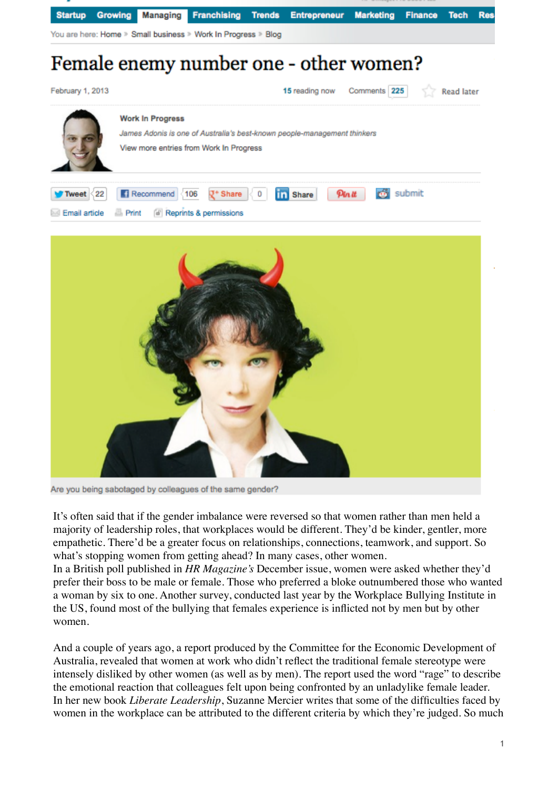



Are you being sabotaged by colleagues of the same gender?

It's often said that if the gender imbalance were reversed so that women rather than men held a majority of leadership roles, that workplaces would be different. They'd be kinder, gentler, more empathetic. There'd be a greater focus on relationships, connections, teamwork, and support. So what's stopping women from getting ahead? In many cases, other women.

In a British poll published in *HR Magazine's* December issue, women were asked whether they'd prefer their boss to be male or female. Those who preferred a bloke outnumbered those who wanted a woman by six to one. Another survey, conducted last year by the Workplace Bullying Institute in the US, found most of the bullying that females experience is inflicted not by men but by other women.

And a couple of years ago, a report produced by the Committee for the Economic Development of Australia, revealed that women at work who didn't reflect the traditional female stereotype were intensely disliked by other women (as well as by men). The report used the word "rage" to describe the emotional reaction that colleagues felt upon being confronted by an unladylike female leader. In her new book *Liberate Leadership*, Suzanne Mercier writes that some of the difficulties faced by women in the workplace can be attributed to the different criteria by which they're judged. So much